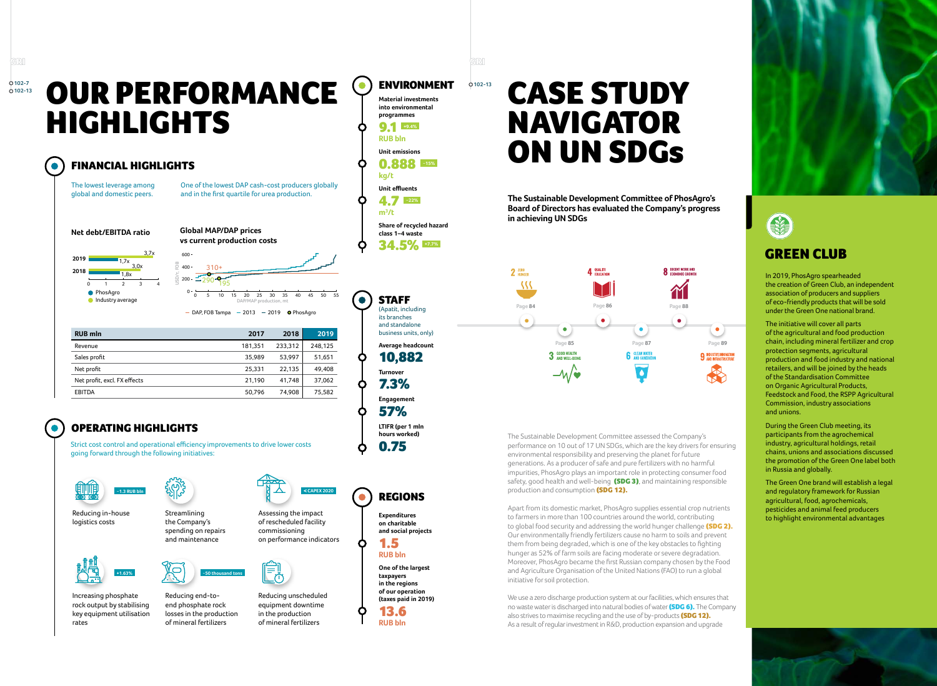

In 2019, PhosAgro spearheaded the creation of Green Club, an independent association of producers and suppliers of eco-friendly products that will be sold under the Green One national brand.

The initiative will cover all parts of the agricultural and food production chain, including mineral fertilizer and crop protection segments, agricultural production and food industry and national retailers, and will be joined by the heads of the Standardisation Committee on Organic Agricultural Products, Feedstock and Food, the RSPP Agricultural Commission, industry associations and unions.

**STAFF** (Apatit, including its branches and standalone business units, only) **Average headcount**  10,882

> During the Green Club meeting, its participants from the agrochemical industry, agricultural holdings, retail chains, unions and associations discussed the promotion of the Green One label both in Russia and globally.

The Green One brand will establish a legal and regulatory framework for Russian agricultural, food, agrochemicals, pesticides and animal feed producers to highlight environmental advantages

ENVIRONMENT

**kg/t**

**Material investments into environmental programmes**  9.1 **+9.4% RUB bln Unit emissions** 0.888 −**15%**

**m<sup>3</sup> /t**

C

 $\bullet$ 

**Unit effluents**  4.7 −**22%**

**Share of recycled hazard class 1–4 waste**  34.5% **+7.7%**

**Turnover**  7.3% **Engagement**  57%

**LTIFR (per 1 mln hours worked)**  0.75

DAP, FOB Tampa  $-2013 - 2019$  O PhosAgro DAP/MAP production, mt

REGIONS

**Expenditures** 







**on charitable and social projects** 

1.5 **RUB bln** The Sustainable Development Committee assessed the Company's performance on 10 out of 17 UN SDGs, which are the key drivers for ensuring environmental responsibility and preserving the planet for future generations. As a producer of safe and pure fertilizers with no harmful impurities, PhosAgro plays an important role in protecting consumer food safety, good health and well-being (SDG 3), and maintaining responsible production and consumption (SDG 12).

**One of the largest taxpayers in the regions of our operation (taxes paid in 2019)** 13.6



C

## OUR PERFORMANCE HIGHLIGHTS

One of the lowest DAP cash-cost producers globally and in the first quartile for urea production.

## GREEN CLUB

| <b>RUB mln</b>               | 2017    | 2018    | 2019    |
|------------------------------|---------|---------|---------|
| Revenue                      | 181,351 | 233,312 | 248,125 |
| Sales profit                 | 35,989  | 53,997  | 51,651  |
| Net profit                   | 25,331  | 22,135  | 49,408  |
| Net profit, excl. FX effects | 21,190  | 41,748  | 37,062  |
| <b>EBITDA</b>                | 50,796  | 74,908  | 75,582  |
|                              |         |         |         |

## OPERATING HIGHLIGHTS

Strict cost control and operational efficiency improvements to drive lower costs going forward through the following initiatives:





Reducing in-house logistics costs Streamlining



Assessing the impact of rescheduled facility commissioning



on performance indicators



Increasing phosphate rock output by stabilising key equipment utilisation rates

Reducing end-toend phosphate rock losses in the production of mineral fertilizers

Reducing unscheduled equipment downtime in the production of mineral fertilizers





**2019**



**Global MAP/DAP prices vs current production costs**  $400 -$ 310+  $\sim$ 200 290 195 <sup>0</sup> <sup>0</sup> <sup>5</sup> <sup>10</sup> <sup>15</sup> <sup>20</sup> <sup>25</sup> <sup>30</sup> <sup>35</sup> <sup>40</sup> <sup>45</sup> <sup>50</sup> <sup>55</sup>

3,0x 3,7x 1,7х  $600 -$ USD/т, FOB

**The Sustainable Development Committee of PhosAgro's Board of Directors has evaluated the Company's progress in achieving UN SDGs**

Apart from its domestic market, PhosAgro supplies essential crop nutrients to farmers in more than 100 countries around the world, contributing to global food security and addressing the world hunger challenge (SDG 2). Our environmentally friendly fertilizers cause no harm to soils and prevent them from being degraded, which is one of the key obstacles to fighting hunger as 52% of farm soils are facing moderate or severe degradation. Moreover, PhosAgro became the first Russian company chosen by the Food and Agriculture Organisation of the United Nations (FAO) to run a global initiative for soil protection.

We use a zero discharge production system at our facilities, which ensures that no waste water is discharged into natural bodies of water (SDG 6). The Company also strives to maximise recycling and the use of by-products (SDG 12). As a result of regular investment in R&D, production expansion and upgrade



**102-7 102-13**

**GRI** 

**102-13**

GRI